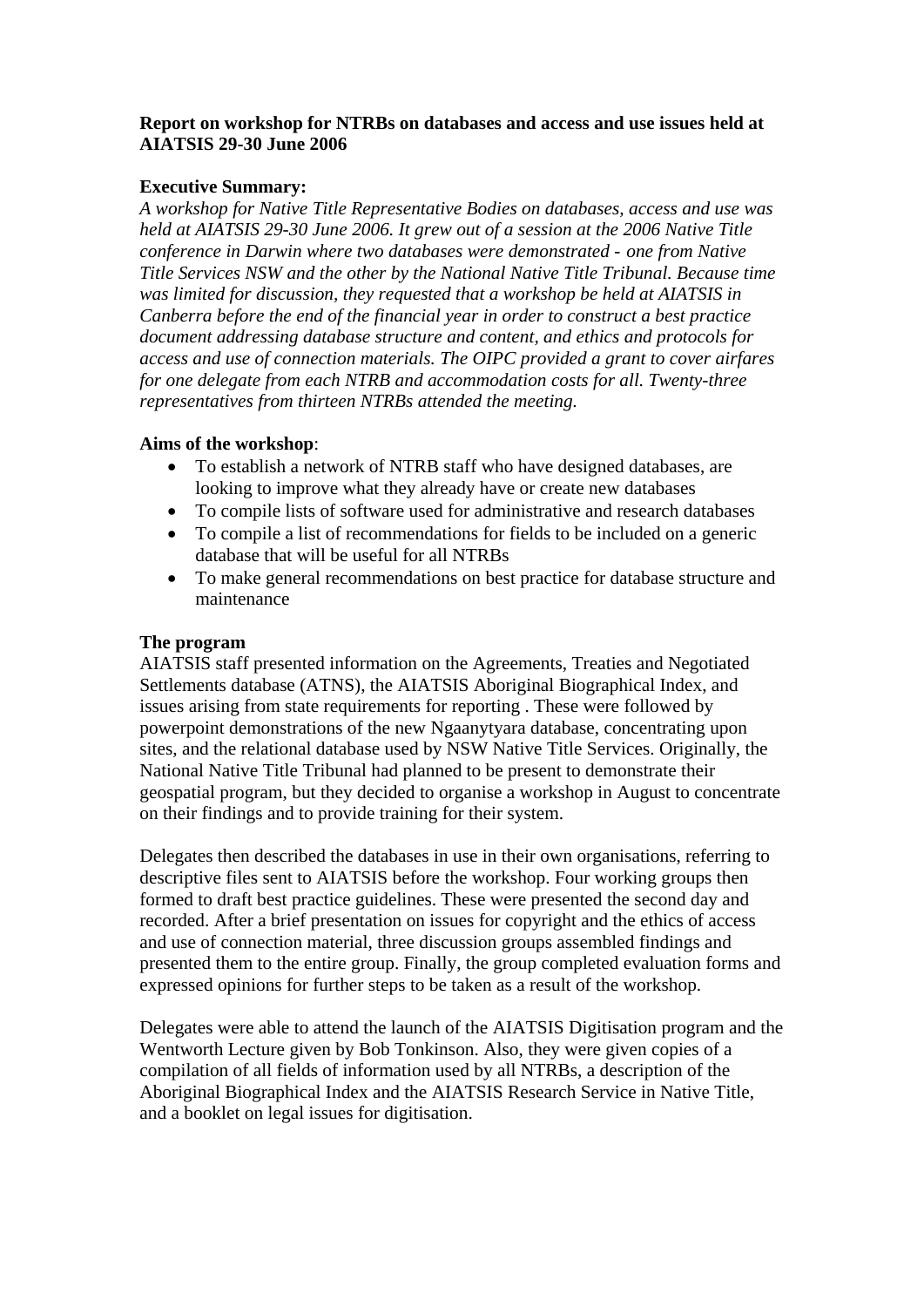### **Report on workshop for NTRBs on databases and access and use issues held at AIATSIS 29-30 June 2006**

### **Executive Summary:**

*A workshop for Native Title Representative Bodies on databases, access and use was held at AIATSIS 29-30 June 2006. It grew out of a session at the 2006 Native Title conference in Darwin where two databases were demonstrated - one from Native Title Services NSW and the other by the National Native Title Tribunal. Because time was limited for discussion, they requested that a workshop be held at AIATSIS in Canberra before the end of the financial year in order to construct a best practice document addressing database structure and content, and ethics and protocols for access and use of connection materials. The OIPC provided a grant to cover airfares for one delegate from each NTRB and accommodation costs for all. Twenty-three representatives from thirteen NTRBs attended the meeting.* 

### **Aims of the workshop**:

- To establish a network of NTRB staff who have designed databases, are looking to improve what they already have or create new databases
- To compile lists of software used for administrative and research databases
- To compile a list of recommendations for fields to be included on a generic database that will be useful for all NTRBs
- To make general recommendations on best practice for database structure and maintenance

### **The program**

AIATSIS staff presented information on the Agreements, Treaties and Negotiated Settlements database (ATNS), the AIATSIS Aboriginal Biographical Index, and issues arising from state requirements for reporting . These were followed by powerpoint demonstrations of the new Ngaanytyara database, concentrating upon sites, and the relational database used by NSW Native Title Services. Originally, the National Native Title Tribunal had planned to be present to demonstrate their geospatial program, but they decided to organise a workshop in August to concentrate on their findings and to provide training for their system.

Delegates then described the databases in use in their own organisations, referring to descriptive files sent to AIATSIS before the workshop. Four working groups then formed to draft best practice guidelines. These were presented the second day and recorded. After a brief presentation on issues for copyright and the ethics of access and use of connection material, three discussion groups assembled findings and presented them to the entire group. Finally, the group completed evaluation forms and expressed opinions for further steps to be taken as a result of the workshop.

Delegates were able to attend the launch of the AIATSIS Digitisation program and the Wentworth Lecture given by Bob Tonkinson. Also, they were given copies of a compilation of all fields of information used by all NTRBs, a description of the Aboriginal Biographical Index and the AIATSIS Research Service in Native Title, and a booklet on legal issues for digitisation.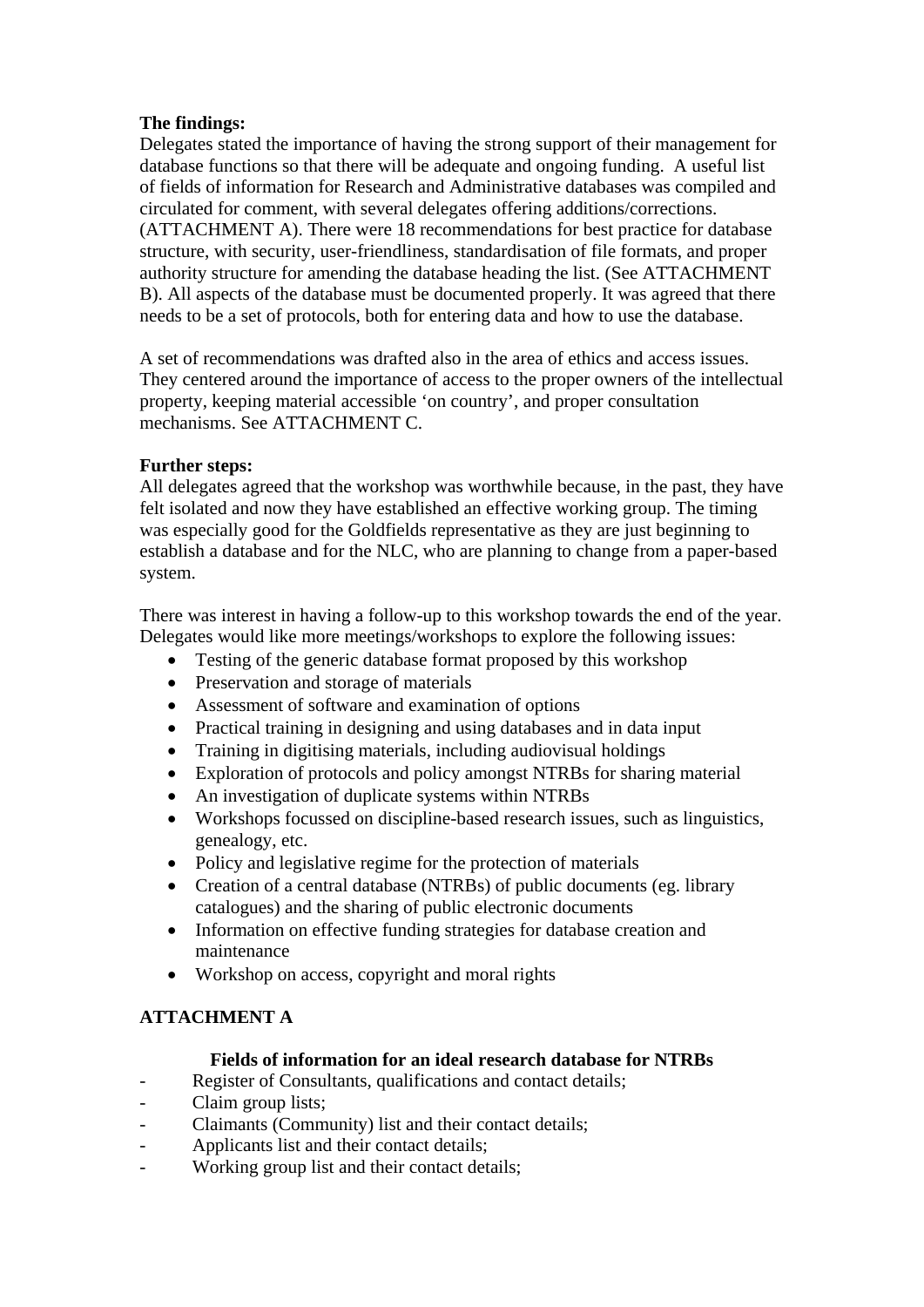# **The findings:**

Delegates stated the importance of having the strong support of their management for database functions so that there will be adequate and ongoing funding. A useful list of fields of information for Research and Administrative databases was compiled and circulated for comment, with several delegates offering additions/corrections. (ATTACHMENT A). There were 18 recommendations for best practice for database structure, with security, user-friendliness, standardisation of file formats, and proper authority structure for amending the database heading the list. (See ATTACHMENT B). All aspects of the database must be documented properly. It was agreed that there needs to be a set of protocols, both for entering data and how to use the database.

A set of recommendations was drafted also in the area of ethics and access issues. They centered around the importance of access to the proper owners of the intellectual property, keeping material accessible 'on country', and proper consultation mechanisms. See ATTACHMENT C.

# **Further steps:**

All delegates agreed that the workshop was worthwhile because, in the past, they have felt isolated and now they have established an effective working group. The timing was especially good for the Goldfields representative as they are just beginning to establish a database and for the NLC, who are planning to change from a paper-based system.

There was interest in having a follow-up to this workshop towards the end of the year. Delegates would like more meetings/workshops to explore the following issues:

- Testing of the generic database format proposed by this workshop
- Preservation and storage of materials
- Assessment of software and examination of options
- Practical training in designing and using databases and in data input
- Training in digitising materials, including audiovisual holdings
- Exploration of protocols and policy amongst NTRBs for sharing material
- An investigation of duplicate systems within NTRBs
- Workshops focussed on discipline-based research issues, such as linguistics, genealogy, etc.
- Policy and legislative regime for the protection of materials
- Creation of a central database (NTRBs) of public documents (eg. library catalogues) and the sharing of public electronic documents
- Information on effective funding strategies for database creation and maintenance
- Workshop on access, copyright and moral rights

# **ATTACHMENT A**

# **Fields of information for an ideal research database for NTRBs**

Register of Consultants, qualifications and contact details;

- Claim group lists;
- Claimants (Community) list and their contact details;
- Applicants list and their contact details;
- Working group list and their contact details;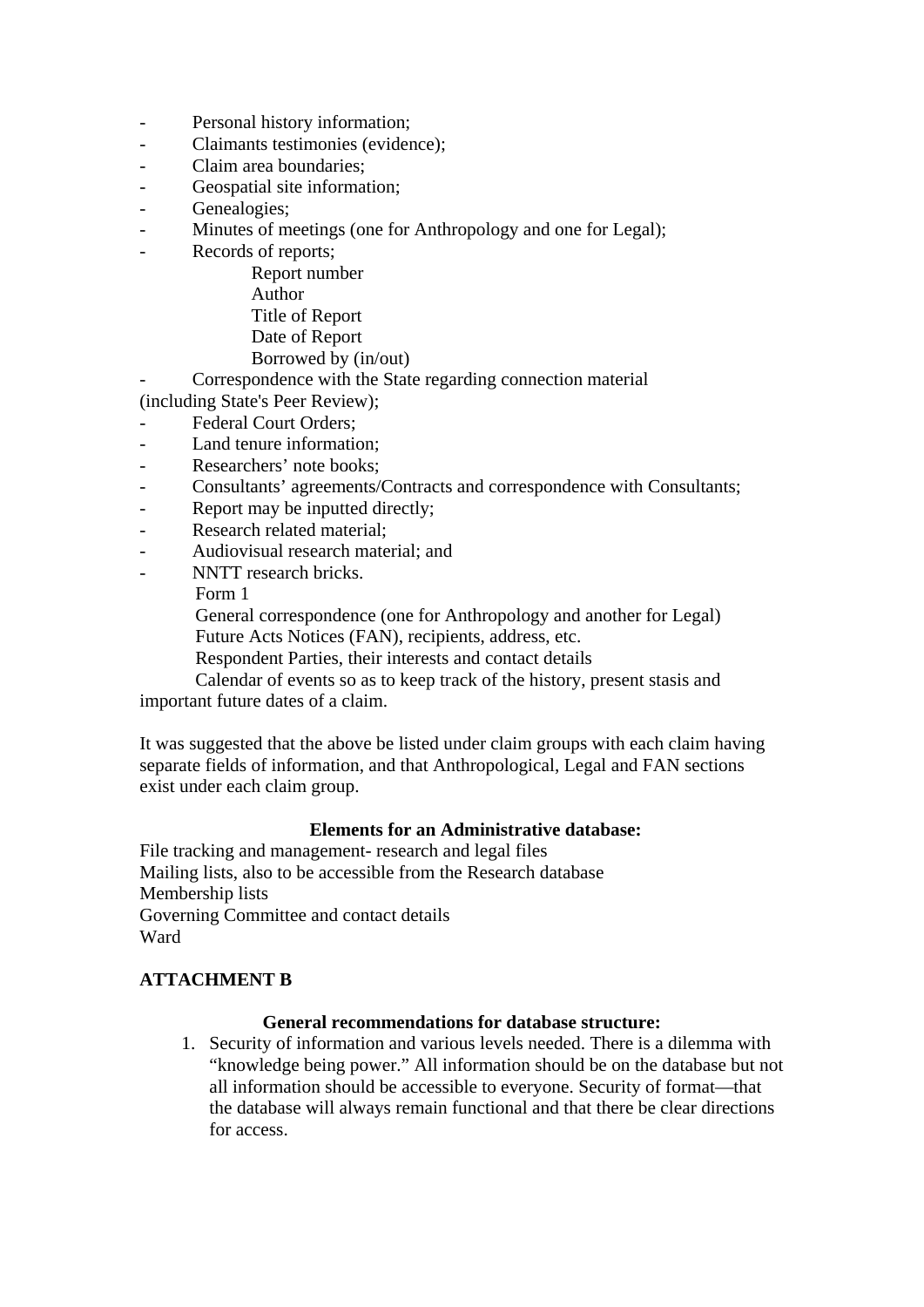- Personal history information;
- Claimants testimonies (evidence);
- Claim area boundaries:
- Geospatial site information;
- Genealogies;
- Minutes of meetings (one for Anthropology and one for Legal);
- Records of reports;
	- Report number Author Title of Report Date of Report
	- Borrowed by (in/out)
- Correspondence with the State regarding connection material
- (including State's Peer Review);
- Federal Court Orders;
- Land tenure information:
- Researchers' note books;
- Consultants' agreements/Contracts and correspondence with Consultants;
- Report may be inputted directly;
- Research related material;
- Audiovisual research material; and
	- NNTT research bricks.

Form 1

 General correspondence (one for Anthropology and another for Legal) Future Acts Notices (FAN), recipients, address, etc.

Respondent Parties, their interests and contact details

 Calendar of events so as to keep track of the history, present stasis and important future dates of a claim.

It was suggested that the above be listed under claim groups with each claim having separate fields of information, and that Anthropological, Legal and FAN sections exist under each claim group.

#### **Elements for an Administrative database:**

File tracking and management- research and legal files Mailing lists, also to be accessible from the Research database Membership lists Governing Committee and contact details Ward

### **ATTACHMENT B**

#### **General recommendations for database structure:**

1. Security of information and various levels needed. There is a dilemma with "knowledge being power." All information should be on the database but not all information should be accessible to everyone. Security of format—that the database will always remain functional and that there be clear directions for access.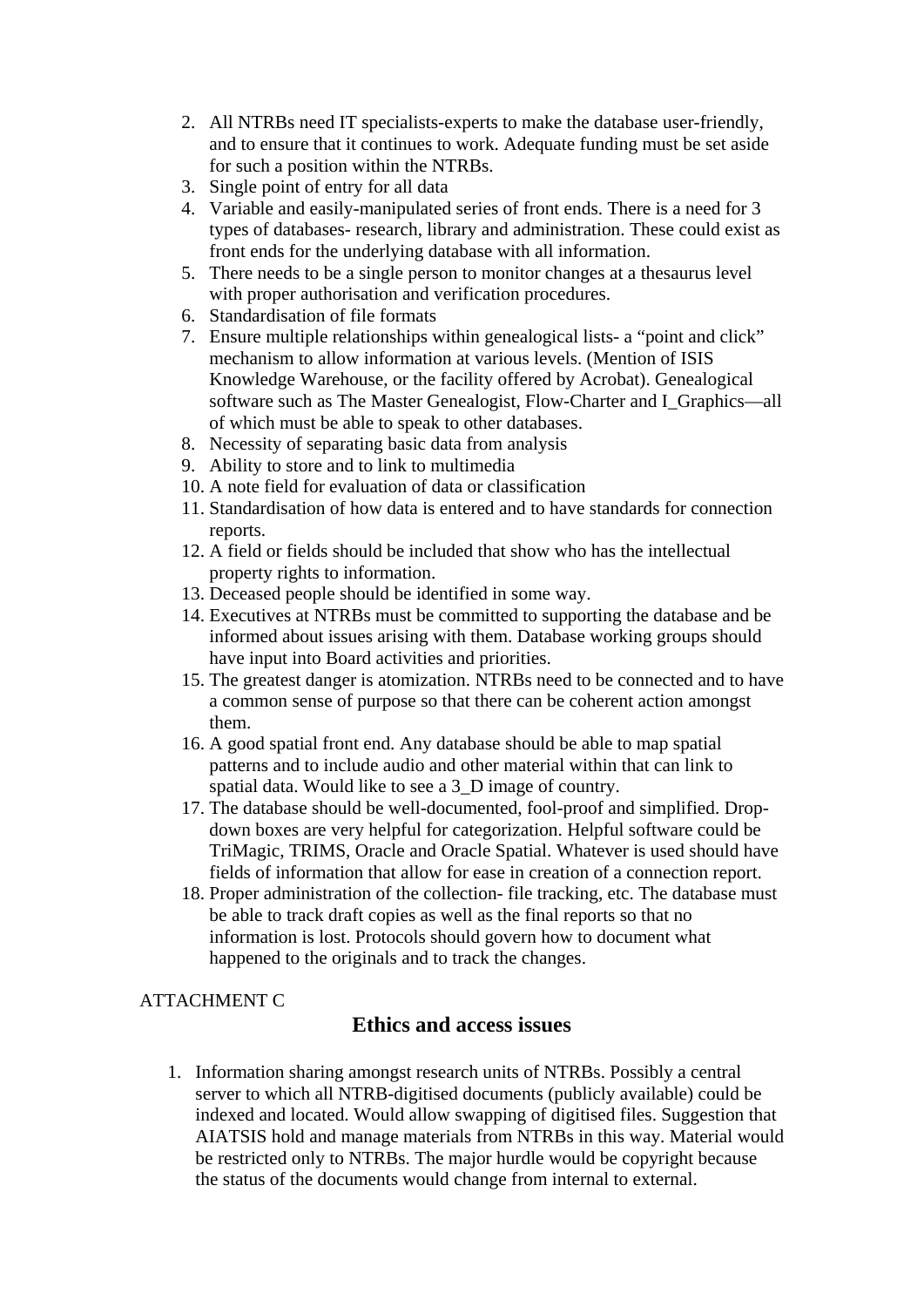- 2. All NTRBs need IT specialists-experts to make the database user-friendly, and to ensure that it continues to work. Adequate funding must be set aside for such a position within the NTRBs.
- 3. Single point of entry for all data
- 4. Variable and easily-manipulated series of front ends. There is a need for 3 types of databases- research, library and administration. These could exist as front ends for the underlying database with all information.
- 5. There needs to be a single person to monitor changes at a thesaurus level with proper authorisation and verification procedures.
- 6. Standardisation of file formats
- 7. Ensure multiple relationships within genealogical lists- a "point and click" mechanism to allow information at various levels. (Mention of ISIS Knowledge Warehouse, or the facility offered by Acrobat). Genealogical software such as The Master Genealogist, Flow-Charter and I Graphics—all of which must be able to speak to other databases.
- 8. Necessity of separating basic data from analysis
- 9. Ability to store and to link to multimedia
- 10. A note field for evaluation of data or classification
- 11. Standardisation of how data is entered and to have standards for connection reports.
- 12. A field or fields should be included that show who has the intellectual property rights to information.
- 13. Deceased people should be identified in some way.
- 14. Executives at NTRBs must be committed to supporting the database and be informed about issues arising with them. Database working groups should have input into Board activities and priorities.
- 15. The greatest danger is atomization. NTRBs need to be connected and to have a common sense of purpose so that there can be coherent action amongst them.
- 16. A good spatial front end. Any database should be able to map spatial patterns and to include audio and other material within that can link to spatial data. Would like to see a 3\_D image of country.
- 17. The database should be well-documented, fool-proof and simplified. Dropdown boxes are very helpful for categorization. Helpful software could be TriMagic, TRIMS, Oracle and Oracle Spatial. Whatever is used should have fields of information that allow for ease in creation of a connection report.
- 18. Proper administration of the collection- file tracking, etc. The database must be able to track draft copies as well as the final reports so that no information is lost. Protocols should govern how to document what happened to the originals and to track the changes.

# ATTACHMENT C

# **Ethics and access issues**

1. Information sharing amongst research units of NTRBs. Possibly a central server to which all NTRB-digitised documents (publicly available) could be indexed and located. Would allow swapping of digitised files. Suggestion that AIATSIS hold and manage materials from NTRBs in this way. Material would be restricted only to NTRBs. The major hurdle would be copyright because the status of the documents would change from internal to external.